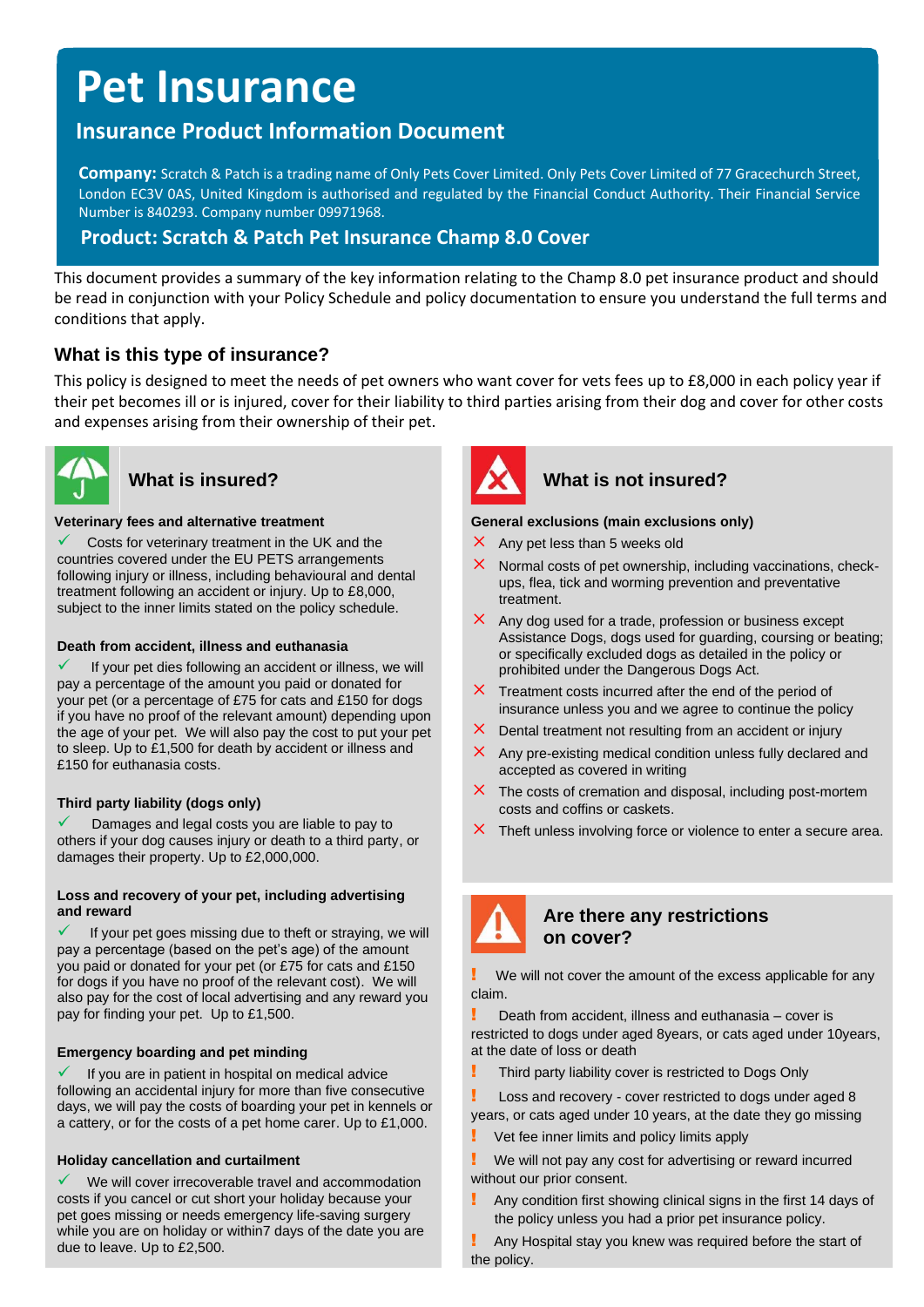# **Pet Insurance**

# **Insurance Product Information Document**

**Company:** Scratch & Patch is a trading name of Only Pets Cover Limited. Only Pets Cover Limited of 77 Gracechurch Street, London EC3V 0AS, United Kingdom is authorised and regulated by the Financial Conduct Authority. Their Financial Service Number is 840293. Company number 09971968.

# **Product: Scratch & Patch Pet Insurance Champ 8.0 Cover**

This document provides a summary of the key information relating to the Champ 8.0 pet insurance product and should be read in conjunction with your Policy Schedule and policy documentation to ensure you understand the full terms and conditions that apply.

# **What is this type of insurance?**

This policy is designed to meet the needs of pet owners who want cover for vets fees up to £8,000 in each policy year if their pet becomes ill or is injured, cover for their liability to third parties arising from their dog and cover for other costs and expenses arising from their ownership of their pet.



#### **Veterinary fees and alternative treatment**

Costs for veterinary treatment in the UK and the countries covered under the EU PETS arrangements following injury or illness, including behavioural and dental treatment following an accident or injury. Up to £8,000, subject to the inner limits stated on the policy schedule.

#### **Death from accident, illness and euthanasia**

If your pet dies following an accident or illness, we will pay a percentage of the amount you paid or donated for your pet (or a percentage of £75 for cats and £150 for dogs if you have no proof of the relevant amount) depending upon the age of your pet. We will also pay the cost to put your pet to sleep. Up to £1,500 for death by accident or illness and £150 for euthanasia costs.

#### **Third party liability (dogs only)**

Damages and legal costs you are liable to pay to others if your dog causes injury or death to a third party, or damages their property. Up to £2,000,000.

#### **Loss and recovery of your pet, including advertising and reward**

If your pet goes missing due to theft or straying, we will pay a percentage (based on the pet's age) of the amount you paid or donated for your pet (or £75 for cats and £150 for dogs if you have no proof of the relevant cost). We will also pay for the cost of local advertising and any reward you pay for finding your pet. Up to £1,500.

#### **Emergency boarding and pet minding**

If you are in patient in hospital on medical advice following an accidental injury for more than five consecutive days, we will pay the costs of boarding your pet in kennels or a cattery, or for the costs of a pet home carer. Up to £1,000.

#### **Holiday cancellation and curtailment**

We will cover irrecoverable travel and accommodation costs if you cancel or cut short your holiday because your pet goes missing or needs emergency life-saving surgery while you are on holiday or within7 days of the date you are due to leave. Up to £2,500.



# What is insured? **What is not insured?**

#### **General exclusions (main exclusions only)**

- $\times$  Any pet less than 5 weeks old
- Normal costs of pet ownership, including vaccinations, checkups, flea, tick and worming prevention and preventative treatment.
- $\times$  Any dog used for a trade, profession or business except Assistance Dogs, dogs used for guarding, coursing or beating; or specifically excluded dogs as detailed in the policy or prohibited under the Dangerous Dogs Act.
- $\times$  Treatment costs incurred after the end of the period of insurance unless you and we agree to continue the policy
- $\times$  Dental treatment not resulting from an accident or injury
- $\times$  Any pre-existing medical condition unless fully declared and accepted as covered in writing
- $\times$  The costs of cremation and disposal, including post-mortem costs and coffins or caskets.
- $\times$  Theft unless involving force or violence to enter a secure area.



### **Are there any restrictions on cover?**

! We will not cover the amount of the excess applicable for any claim.

! Death from accident, illness and euthanasia – cover is restricted to dogs under aged 8years, or cats aged under 10years, at the date of loss or death

Third party liability cover is restricted to Dogs Only

**Loss and recovery - cover restricted to dogs under aged 8** years, or cats aged under 10 years, at the date they go missing

Vet fee inner limits and policy limits apply

We will not pay any cost for advertising or reward incurred without our prior consent.

Any condition first showing clinical signs in the first 14 days of the policy unless you had a prior pet insurance policy.

! Any Hospital stay you knew was required before the start of the policy.